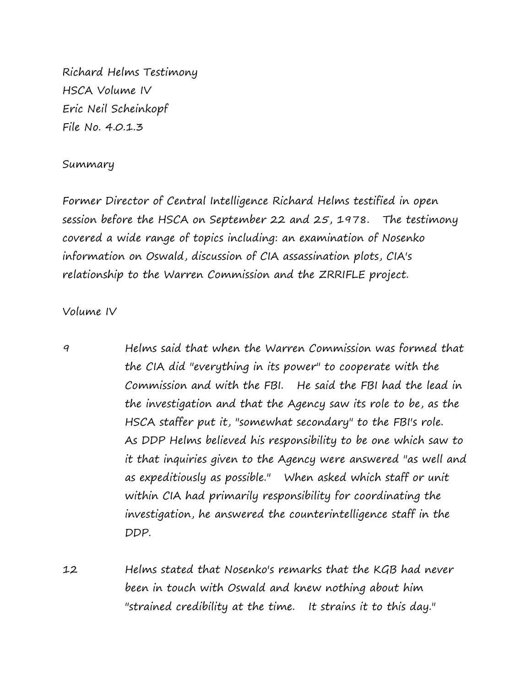Richard Helms Testimony HSCA Volume IV Eric Neil Scheinkopf File No. 4.0.1.3

## Summary

Former Director of Central Intelligence Richard Helms testified in open session before the HSCA on September 22 and 25, 1978. The testimony covered a wide range of topics including: an examination of Nosenko information on Oswald, discussion of CIA assassination plots, CIA's relationship to the Warren Commission and the ZRRIFLE project.

## Volume IV

9 Helms said that when the Warren Commission was formed that the CIA did "everything in its power" to cooperate with the Commission and with the FBI. He said the FBI had the lead in the investigation and that the Agency saw its role to be, as the HSCA staffer put it, "somewhat secondary" to the FBI's role. As DDP Helms believed his responsibility to be one which saw to it that inquiries given to the Agency were answered "as well and as expeditiously as possible." When asked which staff or unit within CIA had primarily responsibility for coordinating the investigation, he answered the counterintelligence staff in the DDP.

12 Helms stated that Nosenko's remarks that the KGB had never been in touch with Oswald and knew nothing about him "strained credibility at the time. It strains it to this day."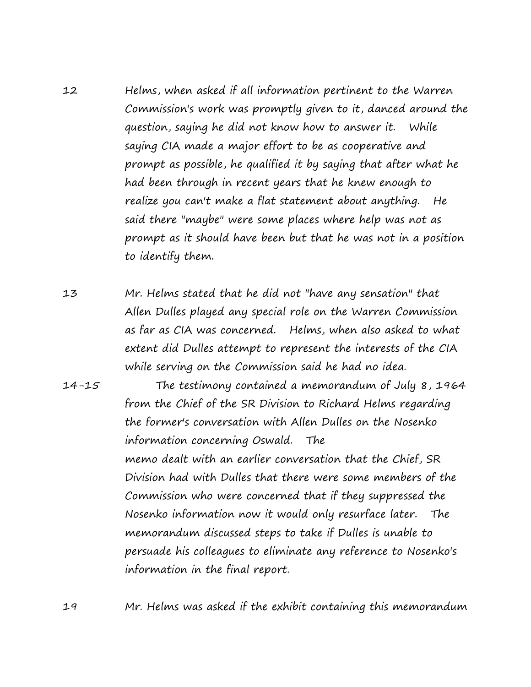12 Helms, when asked if all information pertinent to the Warren Commission's work was promptly given to it, danced around the question, saying he did not know how to answer it. While saying CIA made a major effort to be as cooperative and prompt as possible, he qualified it by saying that after what he had been through in recent years that he knew enough to realize you can't make a flat statement about anything. He said there "maybe" were some places where help was not as prompt as it should have been but that he was not in a position to identify them.

13 Mr. Helms stated that he did not "have any sensation" that Allen Dulles played any special role on the Warren Commission as far as CIA was concerned. Helms, when also asked to what extent did Dulles attempt to represent the interests of the CIA while serving on the Commission said he had no idea.

14-15 The testimony contained a memorandum of July 8, 1964 from the Chief of the SR Division to Richard Helms regarding the former's conversation with Allen Dulles on the Nosenko information concerning Oswald. The memo dealt with an earlier conversation that the Chief, SR Division had with Dulles that there were some members of the Commission who were concerned that if they suppressed the Nosenko information now it would only resurface later. The memorandum discussed steps to take if Dulles is unable to persuade his colleagues to eliminate any reference to Nosenko's information in the final report.

19 Mr. Helms was asked if the exhibit containing this memorandum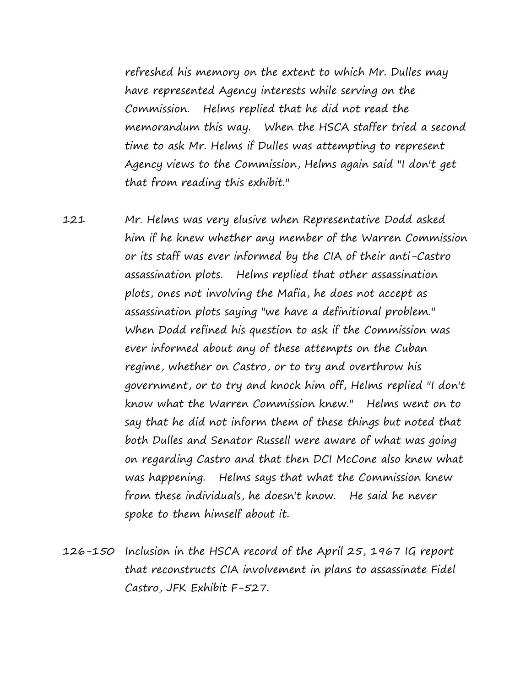refreshed his memory on the extent to which Mr. Dulles may have represented Agency interests while serving on the Commission. Helms replied that he did not read the memorandum this way. When the HSCA staffer tried a second time to ask Mr. Helms if Dulles was attempting to represent Agency views to the Commission, Helms again said "I don't get that from reading this exhibit."

121 Mr. Helms was very elusive when Representative Dodd asked him if he knew whether any member of the Warren Commission or its staff was ever informed by the CIA of their anti-Castro assassination plots. Helms replied that other assassination plots, ones not involving the Mafia, he does not accept as assassination plots saying "we have a definitional problem." When Dodd refined his question to ask if the Commission was ever informed about any of these attempts on the Cuban regime, whether on Castro, or to try and overthrow his government, or to try and knock him off, Helms replied "I don't know what the Warren Commission knew." Helms went on to say that he did not inform them of these things but noted that both Dulles and Senator Russell were aware of what was going on regarding Castro and that then DCI McCone also knew what was happening. Helms says that what the Commission knew from these individuals, he doesn't know. He said he never spoke to them himself about it.

126-150 Inclusion in the HSCA record of the April 25, 1967 IG report that reconstructs CIA involvement in plans to assassinate Fidel Castro, JFK Exhibit F-527.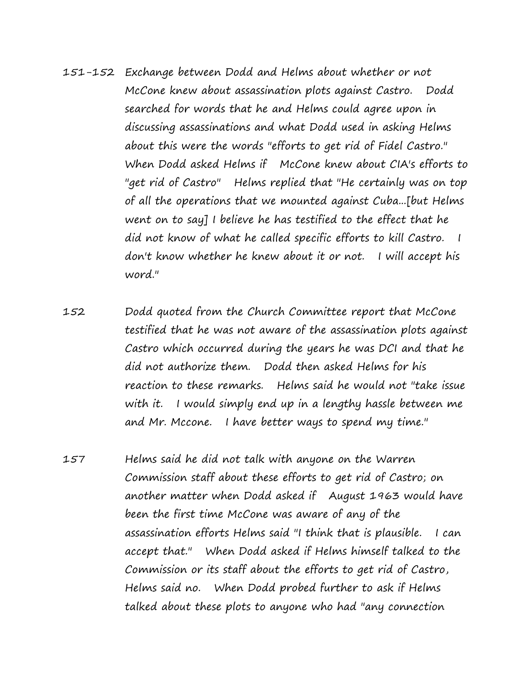- 151-152 Exchange between Dodd and Helms about whether or not McCone knew about assassination plots against Castro. Dodd searched for words that he and Helms could agree upon in discussing assassinations and what Dodd used in asking Helms about this were the words "efforts to get rid of Fidel Castro." When Dodd asked Helms if McCone knew about CIA's efforts to "get rid of Castro" Helms replied that "He certainly was on top of all the operations that we mounted against Cuba...[but Helms went on to say] I believe he has testified to the effect that he did not know of what he called specific efforts to kill Castro. I don't know whether he knew about it or not. I will accept his word."
- 152 Dodd quoted from the Church Committee report that McCone testified that he was not aware of the assassination plots against Castro which occurred during the years he was DCI and that he did not authorize them. Dodd then asked Helms for his reaction to these remarks. Helms said he would not "take issue with it. I would simply end up in a lengthy hassle between me and Mr. Mccone. I have better ways to spend my time."
- 157 Helms said he did not talk with anyone on the Warren Commission staff about these efforts to get rid of Castro; on another matter when Dodd asked if August 1963 would have been the first time McCone was aware of any of the assassination efforts Helms said "I think that is plausible. I can accept that." When Dodd asked if Helms himself talked to the Commission or its staff about the efforts to get rid of Castro, Helms said no. When Dodd probed further to ask if Helms talked about these plots to anyone who had "any connection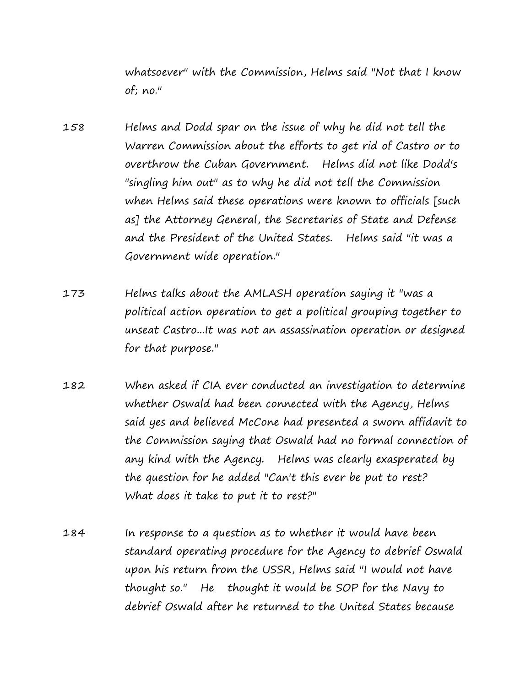whatsoever" with the Commission, Helms said "Not that I know of; no."

- 158 Helms and Dodd spar on the issue of why he did not tell the Warren Commission about the efforts to get rid of Castro or to overthrow the Cuban Government. Helms did not like Dodd's "singling him out" as to why he did not tell the Commission when Helms said these operations were known to officials [such as] the Attorney General, the Secretaries of State and Defense and the President of the United States. Helms said "it was a Government wide operation."
- 173 Helms talks about the AMLASH operation saying it "was a political action operation to get a political grouping together to unseat Castro...It was not an assassination operation or designed for that purpose."
- 182 When asked if CIA ever conducted an investigation to determine whether Oswald had been connected with the Agency, Helms said yes and believed McCone had presented a sworn affidavit to the Commission saying that Oswald had no formal connection of any kind with the Agency. Helms was clearly exasperated by the question for he added "Can't this ever be put to rest? What does it take to put it to rest?"
- 184 In response to a question as to whether it would have been standard operating procedure for the Agency to debrief Oswald upon his return from the USSR, Helms said "I would not have thought so." He thought it would be SOP for the Navy to debrief Oswald after he returned to the United States because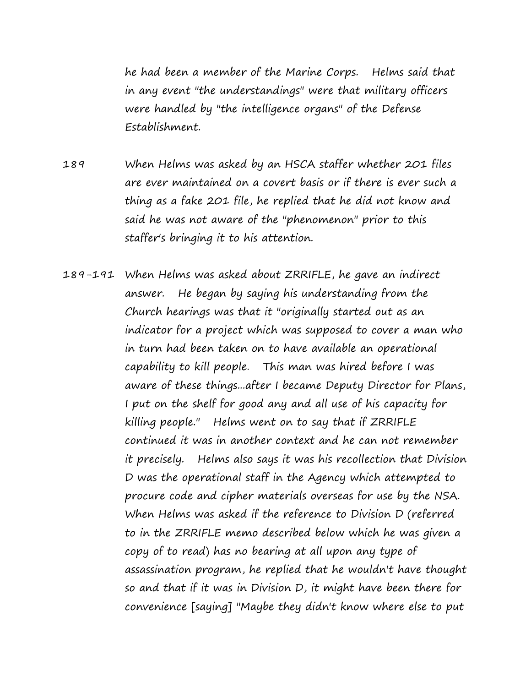he had been a member of the Marine Corps. Helms said that in any event "the understandings" were that military officers were handled by "the intelligence organs" of the Defense Establishment.

- 189 When Helms was asked by an HSCA staffer whether 201 files are ever maintained on a covert basis or if there is ever such a thing as a fake 201 file, he replied that he did not know and said he was not aware of the "phenomenon" prior to this staffer's bringing it to his attention.
- 189-191 When Helms was asked about ZRRIFLE, he gave an indirect answer. He began by saying his understanding from the Church hearings was that it "originally started out as an indicator for a project which was supposed to cover a man who in turn had been taken on to have available an operational capability to kill people. This man was hired before I was aware of these things...after I became Deputy Director for Plans, I put on the shelf for good any and all use of his capacity for killing people." Helms went on to say that if ZRRIFLE continued it was in another context and he can not remember it precisely. Helms also says it was his recollection that Division D was the operational staff in the Agency which attempted to procure code and cipher materials overseas for use by the NSA. When Helms was asked if the reference to Division D (referred to in the ZRRIFLE memo described below which he was given a copy of to read) has no bearing at all upon any type of assassination program, he replied that he wouldn't have thought so and that if it was in Division D, it might have been there for convenience [saying] "Maybe they didn't know where else to put